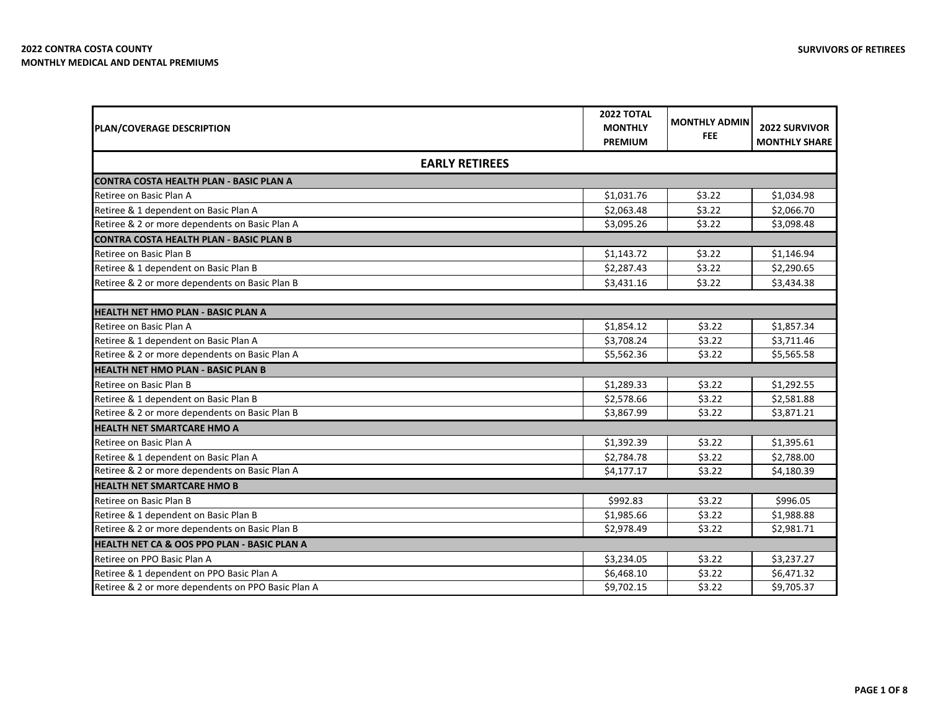| PLAN/COVERAGE DESCRIPTION                              | <b>2022 TOTAL</b><br><b>MONTHLY</b><br><b>PREMIUM</b> | <b>MONTHLY ADMIN</b><br><b>FEE</b> | <b>2022 SURVIVOR</b><br><b>MONTHLY SHARE</b> |
|--------------------------------------------------------|-------------------------------------------------------|------------------------------------|----------------------------------------------|
| <b>EARLY RETIREES</b>                                  |                                                       |                                    |                                              |
| <b>CONTRA COSTA HEALTH PLAN - BASIC PLAN A</b>         |                                                       |                                    |                                              |
| Retiree on Basic Plan A                                | \$1,031.76                                            | \$3.22                             | \$1,034.98                                   |
| Retiree & 1 dependent on Basic Plan A                  | \$2,063.48                                            | \$3.22                             | \$2,066.70                                   |
| Retiree & 2 or more dependents on Basic Plan A         | \$3,095.26                                            | \$3.22                             | \$3,098.48                                   |
| <b>CONTRA COSTA HEALTH PLAN - BASIC PLAN B</b>         |                                                       |                                    |                                              |
| Retiree on Basic Plan B                                | \$1,143.72                                            | \$3.22                             | \$1,146.94                                   |
| Retiree & 1 dependent on Basic Plan B                  | \$2,287.43                                            | \$3.22                             | \$2,290.65                                   |
| Retiree & 2 or more dependents on Basic Plan B         | \$3,431.16                                            | \$3.22                             | \$3,434.38                                   |
| <b>HEALTH NET HMO PLAN - BASIC PLAN A</b>              |                                                       |                                    |                                              |
| Retiree on Basic Plan A                                | \$1,854.12                                            | \$3.22                             | \$1,857.34                                   |
| Retiree & 1 dependent on Basic Plan A                  | \$3,708.24                                            | \$3.22                             | \$3,711.46                                   |
| Retiree & 2 or more dependents on Basic Plan A         | \$5,562.36                                            | \$3.22                             | \$5,565.58                                   |
| <b>HEALTH NET HMO PLAN - BASIC PLAN B</b>              |                                                       |                                    |                                              |
| Retiree on Basic Plan B                                | \$1,289.33                                            | \$3.22                             | \$1,292.55                                   |
| Retiree & 1 dependent on Basic Plan B                  | \$2,578.66                                            | \$3.22                             | \$2,581.88                                   |
| Retiree & 2 or more dependents on Basic Plan B         | \$3,867.99                                            | \$3.22                             | \$3,871.21                                   |
| <b>HEALTH NET SMARTCARE HMO A</b>                      |                                                       |                                    |                                              |
| Retiree on Basic Plan A                                | \$1,392.39                                            | \$3.22                             | \$1,395.61                                   |
| Retiree & 1 dependent on Basic Plan A                  | \$2,784.78                                            | \$3.22                             | \$2,788.00                                   |
| Retiree & 2 or more dependents on Basic Plan A         | \$4,177.17                                            | \$3.22                             | \$4,180.39                                   |
| <b>HEALTH NET SMARTCARE HMO B</b>                      |                                                       |                                    |                                              |
| Retiree on Basic Plan B                                | \$992.83                                              | \$3.22                             | \$996.05                                     |
| Retiree & 1 dependent on Basic Plan B                  | \$1,985.66                                            | \$3.22                             | \$1,988.88                                   |
| Retiree & 2 or more dependents on Basic Plan B         | \$2,978.49                                            | \$3.22                             | \$2,981.71                                   |
| <b>HEALTH NET CA &amp; OOS PPO PLAN - BASIC PLAN A</b> |                                                       |                                    |                                              |
| Retiree on PPO Basic Plan A                            | \$3,234.05                                            | \$3.22                             | \$3,237.27                                   |
| Retiree & 1 dependent on PPO Basic Plan A              | \$6,468.10                                            | \$3.22                             | \$6,471.32                                   |
| Retiree & 2 or more dependents on PPO Basic Plan A     | \$9,702.15                                            | \$3.22                             | \$9,705.37                                   |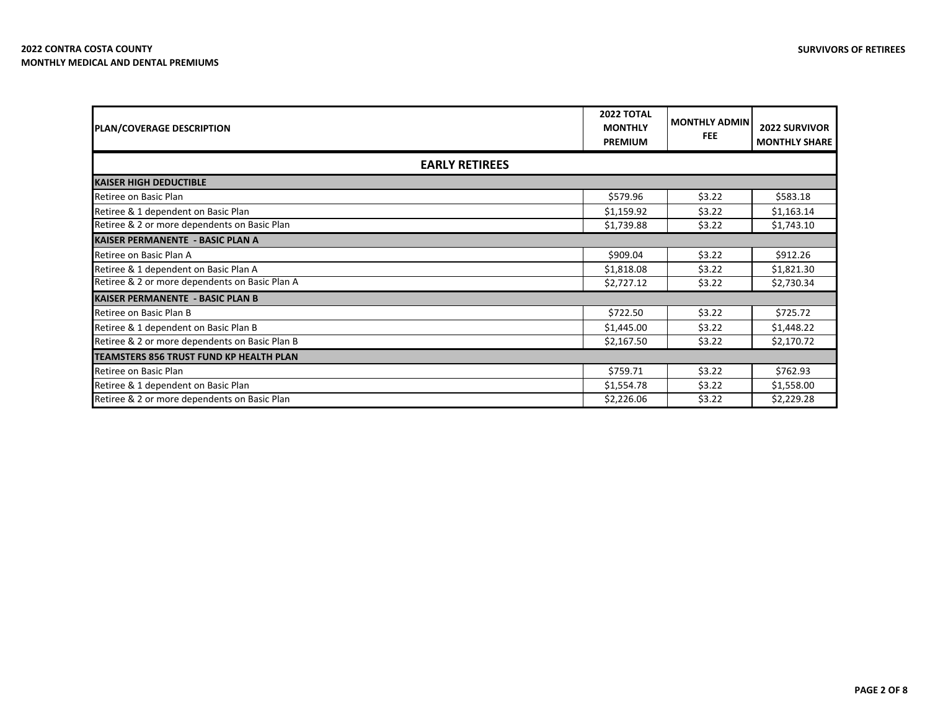| <b>PLAN/COVERAGE DESCRIPTION</b>               | <b>2022 TOTAL</b><br><b>MONTHLY</b><br><b>PREMIUM</b> | <b>MONTHLY ADMIN</b><br><b>FEE</b> | <b>2022 SURVIVOR</b><br><b>MONTHLY SHARE</b> |
|------------------------------------------------|-------------------------------------------------------|------------------------------------|----------------------------------------------|
|                                                | <b>EARLY RETIREES</b>                                 |                                    |                                              |
| <b>KAISER HIGH DEDUCTIBLE</b>                  |                                                       |                                    |                                              |
| Retiree on Basic Plan                          | \$579.96                                              | \$3.22                             | \$583.18                                     |
| Retiree & 1 dependent on Basic Plan            | \$1,159.92                                            | \$3.22                             | \$1,163.14                                   |
| Retiree & 2 or more dependents on Basic Plan   | \$1,739.88                                            | \$3.22                             | \$1,743.10                                   |
| <b>KAISER PERMANENTE - BASIC PLAN A</b>        |                                                       |                                    |                                              |
| Retiree on Basic Plan A                        | \$909.04                                              | \$3.22                             | \$912.26                                     |
| Retiree & 1 dependent on Basic Plan A          | \$1,818.08                                            | \$3.22                             | \$1,821.30                                   |
| Retiree & 2 or more dependents on Basic Plan A | \$2,727.12                                            | \$3.22                             | \$2,730.34                                   |
| <b>KAISER PERMANENTE - BASIC PLAN B</b>        |                                                       |                                    |                                              |
| Retiree on Basic Plan B                        | \$722.50                                              | \$3.22                             | \$725.72                                     |
| Retiree & 1 dependent on Basic Plan B          | \$1,445.00                                            | \$3.22                             | \$1,448.22                                   |
| Retiree & 2 or more dependents on Basic Plan B | \$2,167.50                                            | \$3.22                             | \$2,170.72                                   |
| TEAMSTERS 856 TRUST FUND KP HEALTH PLAN        |                                                       |                                    |                                              |
| Retiree on Basic Plan                          | \$759.71                                              | \$3.22                             | \$762.93                                     |
| Retiree & 1 dependent on Basic Plan            | \$1,554.78                                            | \$3.22                             | \$1,558.00                                   |
| Retiree & 2 or more dependents on Basic Plan   | \$2,226.06                                            | \$3.22                             | \$2,229.28                                   |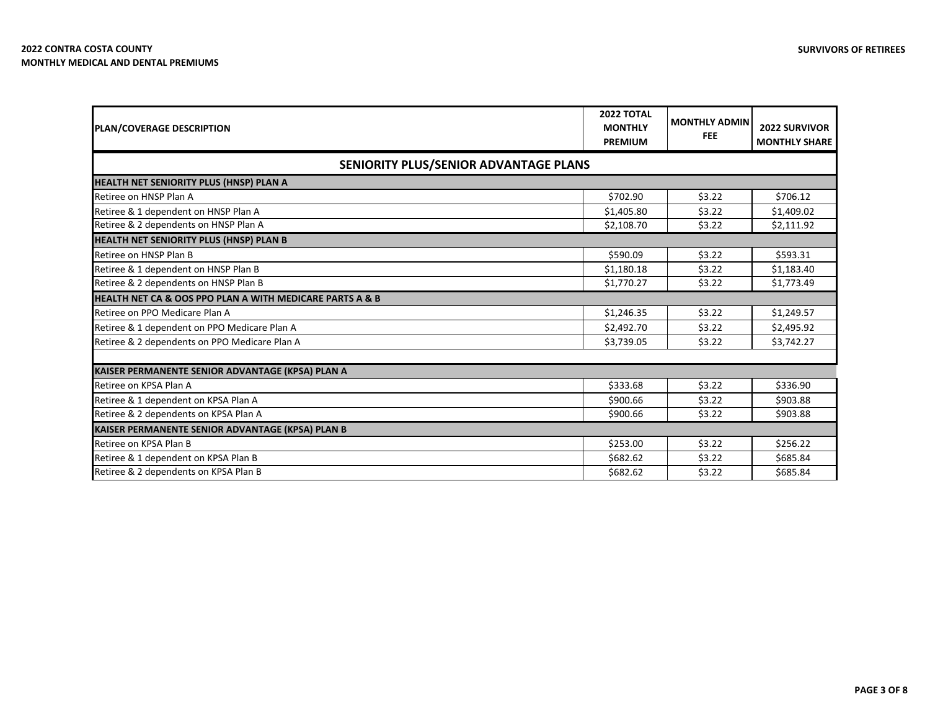| PLAN/COVERAGE DESCRIPTION                                | <b>2022 TOTAL</b><br><b>MONTHLY</b><br><b>PREMIUM</b> | <b>MONTHLY ADMIN</b><br><b>FEE</b> | <b>2022 SURVIVOR</b><br><b>MONTHLY SHARE</b> |
|----------------------------------------------------------|-------------------------------------------------------|------------------------------------|----------------------------------------------|
| SENIORITY PLUS/SENIOR ADVANTAGE PLANS                    |                                                       |                                    |                                              |
| <b>HEALTH NET SENIORITY PLUS (HNSP) PLAN A</b>           |                                                       |                                    |                                              |
| Retiree on HNSP Plan A                                   | \$702.90                                              | \$3.22                             | \$706.12                                     |
| Retiree & 1 dependent on HNSP Plan A                     | \$1,405.80                                            | \$3.22                             | \$1,409.02                                   |
| Retiree & 2 dependents on HNSP Plan A                    | \$2,108.70                                            | \$3.22                             | \$2,111.92                                   |
| HEALTH NET SENIORITY PLUS (HNSP) PLAN B                  |                                                       |                                    |                                              |
| Retiree on HNSP Plan B                                   | \$590.09                                              | \$3.22                             | \$593.31                                     |
| Retiree & 1 dependent on HNSP Plan B                     | \$1,180.18                                            | \$3.22                             | \$1,183.40                                   |
| Retiree & 2 dependents on HNSP Plan B                    | \$1,770.27                                            | \$3.22                             | \$1,773.49                                   |
| HEALTH NET CA & OOS PPO PLAN A WITH MEDICARE PARTS A & B |                                                       |                                    |                                              |
| Retiree on PPO Medicare Plan A                           | \$1,246.35                                            | \$3.22                             | \$1,249.57                                   |
| Retiree & 1 dependent on PPO Medicare Plan A             | \$2,492.70                                            | \$3.22                             | \$2,495.92                                   |
| Retiree & 2 dependents on PPO Medicare Plan A            | \$3,739.05                                            | \$3.22                             | \$3,742.27                                   |
| KAISER PERMANENTE SENIOR ADVANTAGE (KPSA) PLAN A         |                                                       |                                    |                                              |
| Retiree on KPSA Plan A                                   | \$333.68                                              | \$3.22                             | \$336.90                                     |
| Retiree & 1 dependent on KPSA Plan A                     | \$900.66                                              | \$3.22                             | \$903.88                                     |
| Retiree & 2 dependents on KPSA Plan A                    | \$900.66                                              | \$3.22                             | \$903.88                                     |
| KAISER PERMANENTE SENIOR ADVANTAGE (KPSA) PLAN B         |                                                       |                                    |                                              |
| Retiree on KPSA Plan B                                   | \$253.00                                              | \$3.22                             | \$256.22                                     |
| Retiree & 1 dependent on KPSA Plan B                     | \$682.62                                              | \$3.22                             | \$685.84                                     |
| Retiree & 2 dependents on KPSA Plan B                    | \$682.62                                              | \$3.22                             | \$685.84                                     |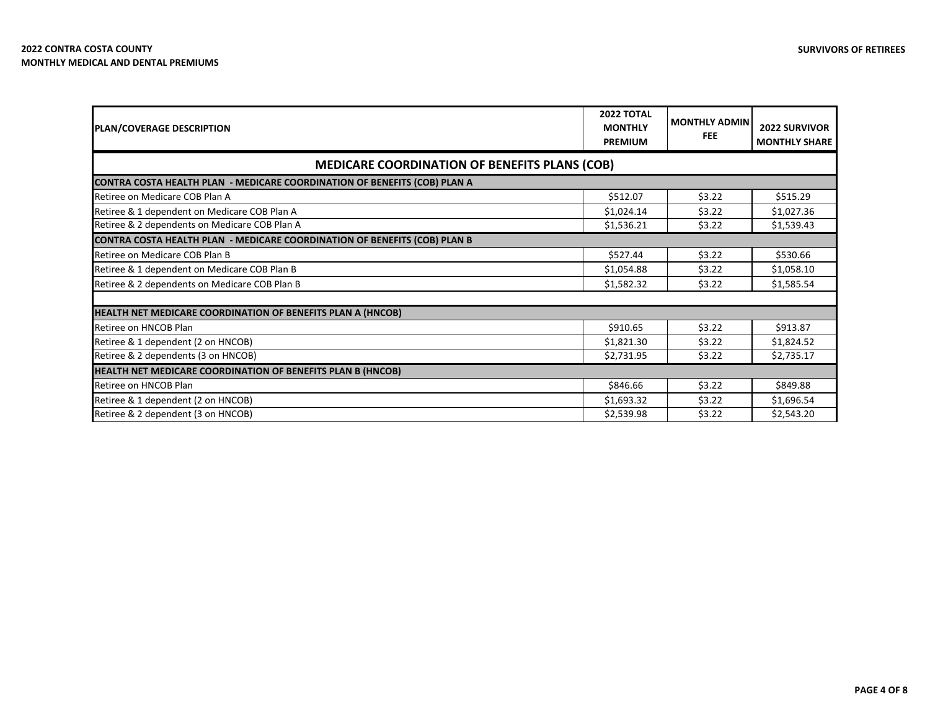| PLAN/COVERAGE DESCRIPTION                                                        | <b>2022 TOTAL</b><br><b>MONTHLY</b><br><b>PREMIUM</b> | <b>MONTHLY ADMIN</b><br><b>FEE</b> | <b>2022 SURVIVOR</b><br><b>MONTHLY SHARE</b> |
|----------------------------------------------------------------------------------|-------------------------------------------------------|------------------------------------|----------------------------------------------|
| <b>MEDICARE COORDINATION OF BENEFITS PLANS (COB)</b>                             |                                                       |                                    |                                              |
| <b>CONTRA COSTA HEALTH PLAN - MEDICARE COORDINATION OF BENEFITS (COB) PLAN A</b> |                                                       |                                    |                                              |
| Retiree on Medicare COB Plan A                                                   | \$512.07                                              | \$3.22                             | \$515.29                                     |
| Retiree & 1 dependent on Medicare COB Plan A                                     | \$1,024.14                                            | \$3.22                             | \$1,027.36                                   |
| Retiree & 2 dependents on Medicare COB Plan A                                    | \$1,536.21                                            | \$3.22                             | \$1,539.43                                   |
| <b>CONTRA COSTA HEALTH PLAN - MEDICARE COORDINATION OF BENEFITS (COB) PLAN B</b> |                                                       |                                    |                                              |
| Retiree on Medicare COB Plan B                                                   | \$527.44                                              | \$3.22                             | \$530.66                                     |
| Retiree & 1 dependent on Medicare COB Plan B                                     | \$1,054.88                                            | \$3.22                             | \$1,058.10                                   |
| Retiree & 2 dependents on Medicare COB Plan B                                    | \$1,582.32                                            | \$3.22                             | \$1,585.54                                   |
|                                                                                  |                                                       |                                    |                                              |
| HEALTH NET MEDICARE COORDINATION OF BENEFITS PLAN A (HNCOB)                      |                                                       |                                    |                                              |
| Retiree on HNCOB Plan                                                            | \$910.65                                              | \$3.22                             | \$913.87                                     |
| Retiree & 1 dependent (2 on HNCOB)                                               | \$1,821.30                                            | \$3.22                             | \$1,824.52                                   |
| Retiree & 2 dependents (3 on HNCOB)                                              | \$2,731.95                                            | \$3.22                             | \$2,735.17                                   |
| HEALTH NET MEDICARE COORDINATION OF BENEFITS PLAN B (HNCOB)                      |                                                       |                                    |                                              |
| Retiree on HNCOB Plan                                                            | \$846.66                                              | \$3.22                             | \$849.88                                     |
| Retiree & 1 dependent (2 on HNCOB)                                               | \$1,693.32                                            | \$3.22                             | \$1,696.54                                   |
| Retiree & 2 dependent (3 on HNCOB)                                               | \$2,539.98                                            | \$3.22                             | \$2,543.20                                   |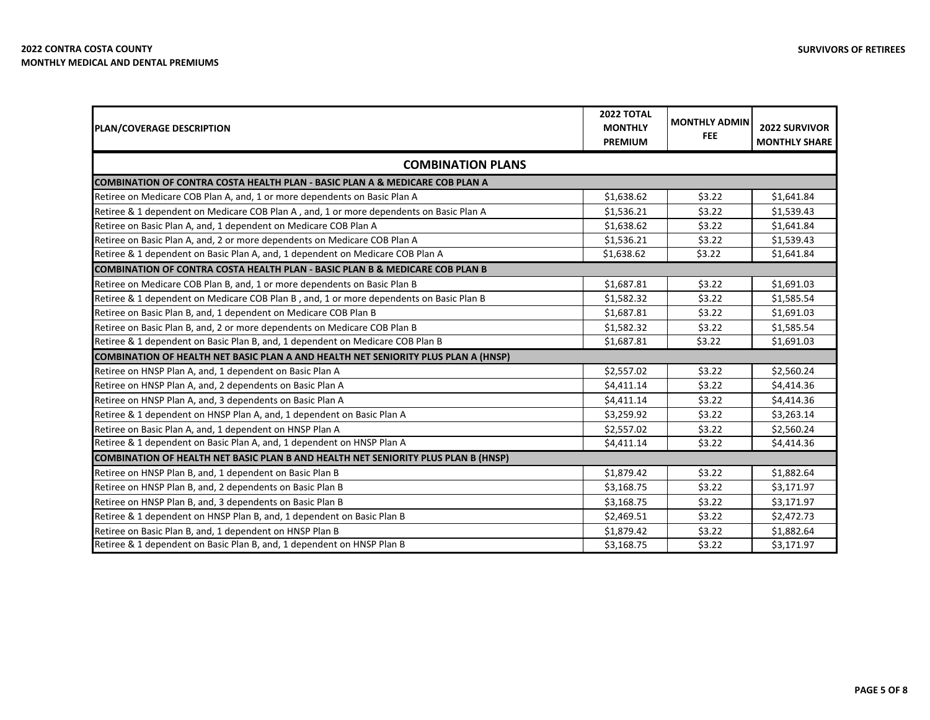| <b>PLAN/COVERAGE DESCRIPTION</b>                                                          | <b>2022 TOTAL</b><br><b>MONTHLY</b><br><b>PREMIUM</b> | <b>MONTHLY ADMIN</b><br><b>FEE</b> | <b>2022 SURVIVOR</b><br><b>MONTHLY SHARE</b> |  |
|-------------------------------------------------------------------------------------------|-------------------------------------------------------|------------------------------------|----------------------------------------------|--|
| <b>COMBINATION PLANS</b>                                                                  |                                                       |                                    |                                              |  |
| COMBINATION OF CONTRA COSTA HEALTH PLAN - BASIC PLAN A & MEDICARE COB PLAN A              |                                                       |                                    |                                              |  |
| Retiree on Medicare COB Plan A, and, 1 or more dependents on Basic Plan A                 | \$1,638.62                                            | \$3.22                             | \$1,641.84                                   |  |
| Retiree & 1 dependent on Medicare COB Plan A, and, 1 or more dependents on Basic Plan A   | \$1,536.21                                            | \$3.22                             | \$1,539.43                                   |  |
| Retiree on Basic Plan A, and, 1 dependent on Medicare COB Plan A                          | \$1,638.62                                            | \$3.22                             | \$1,641.84                                   |  |
| Retiree on Basic Plan A, and, 2 or more dependents on Medicare COB Plan A                 | \$1,536.21                                            | \$3.22                             | \$1,539.43                                   |  |
| Retiree & 1 dependent on Basic Plan A, and, 1 dependent on Medicare COB Plan A            | \$1,638.62                                            | \$3.22                             | \$1,641.84                                   |  |
| <b>COMBINATION OF CONTRA COSTA HEALTH PLAN - BASIC PLAN B &amp; MEDICARE COB PLAN B</b>   |                                                       |                                    |                                              |  |
| Retiree on Medicare COB Plan B, and, 1 or more dependents on Basic Plan B                 | \$1,687.81                                            | \$3.22                             | \$1,691.03                                   |  |
| Retiree & 1 dependent on Medicare COB Plan B, and, 1 or more dependents on Basic Plan B   | \$1,582.32                                            | \$3.22                             | \$1,585.54                                   |  |
| Retiree on Basic Plan B, and, 1 dependent on Medicare COB Plan B                          | \$1,687.81                                            | \$3.22                             | \$1,691.03                                   |  |
| Retiree on Basic Plan B, and, 2 or more dependents on Medicare COB Plan B                 | \$1,582.32                                            | \$3.22                             | \$1,585.54                                   |  |
| Retiree & 1 dependent on Basic Plan B, and, 1 dependent on Medicare COB Plan B            | \$1,687.81                                            | \$3.22                             | \$1,691.03                                   |  |
| COMBINATION OF HEALTH NET BASIC PLAN A AND HEALTH NET SENIORITY PLUS PLAN A (HNSP)        |                                                       |                                    |                                              |  |
| Retiree on HNSP Plan A, and, 1 dependent on Basic Plan A                                  | \$2,557.02                                            | \$3.22                             | \$2,560.24                                   |  |
| Retiree on HNSP Plan A, and, 2 dependents on Basic Plan A                                 | \$4,411.14                                            | \$3.22                             | \$4,414.36                                   |  |
| Retiree on HNSP Plan A, and, 3 dependents on Basic Plan A                                 | \$4,411.14                                            | \$3.22                             | \$4,414.36                                   |  |
| Retiree & 1 dependent on HNSP Plan A, and, 1 dependent on Basic Plan A                    | \$3,259.92                                            | \$3.22                             | \$3,263.14                                   |  |
| Retiree on Basic Plan A, and, 1 dependent on HNSP Plan A                                  | \$2,557.02                                            | \$3.22                             | \$2,560.24                                   |  |
| Retiree & 1 dependent on Basic Plan A, and, 1 dependent on HNSP Plan A                    | \$4,411.14                                            | \$3.22                             | \$4,414.36                                   |  |
| <b>COMBINATION OF HEALTH NET BASIC PLAN B AND HEALTH NET SENIORITY PLUS PLAN B (HNSP)</b> |                                                       |                                    |                                              |  |
| Retiree on HNSP Plan B, and, 1 dependent on Basic Plan B                                  | \$1,879.42                                            | \$3.22                             | \$1,882.64                                   |  |
| Retiree on HNSP Plan B, and, 2 dependents on Basic Plan B                                 | \$3,168.75                                            | \$3.22                             | \$3,171.97                                   |  |
| Retiree on HNSP Plan B, and, 3 dependents on Basic Plan B                                 | \$3,168.75                                            | \$3.22                             | \$3,171.97                                   |  |
| Retiree & 1 dependent on HNSP Plan B, and, 1 dependent on Basic Plan B                    | \$2,469.51                                            | \$3.22                             | \$2,472.73                                   |  |
| Retiree on Basic Plan B, and, 1 dependent on HNSP Plan B                                  | \$1,879.42                                            | \$3.22                             | \$1,882.64                                   |  |
| Retiree & 1 dependent on Basic Plan B, and, 1 dependent on HNSP Plan B                    | \$3,168.75                                            | \$3.22                             | \$3,171.97                                   |  |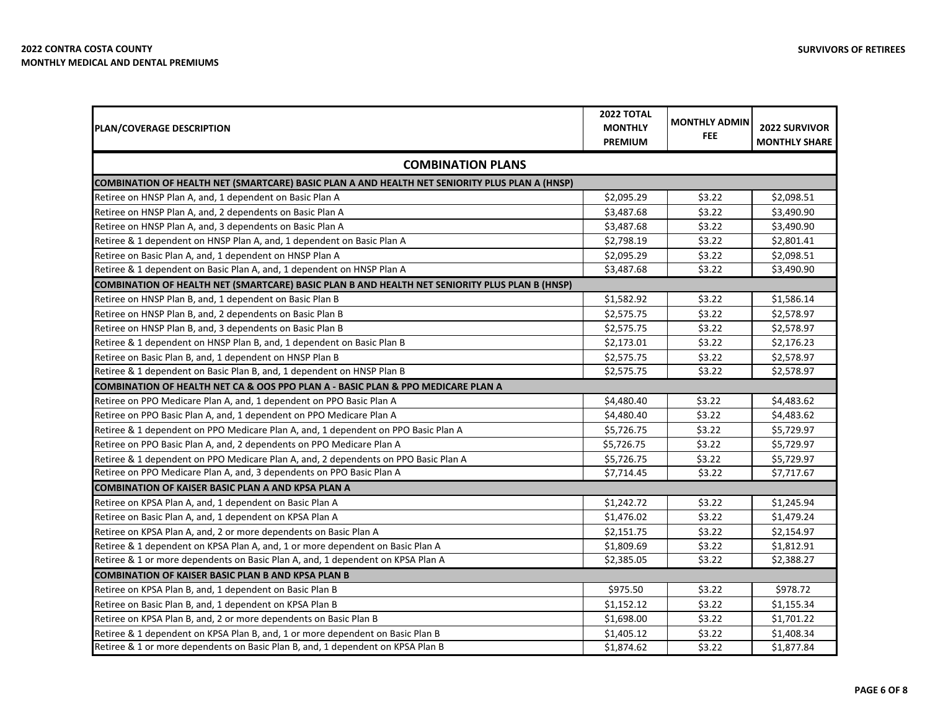| <b>PLAN/COVERAGE DESCRIPTION</b>                                                               | <b>2022 TOTAL</b><br><b>MONTHLY</b> | <b>MONTHLY ADMIN</b> | <b>2022 SURVIVOR</b> |
|------------------------------------------------------------------------------------------------|-------------------------------------|----------------------|----------------------|
|                                                                                                |                                     | <b>FEE</b>           | <b>MONTHLY SHARE</b> |
| <b>COMBINATION PLANS</b>                                                                       |                                     |                      |                      |
| COMBINATION OF HEALTH NET (SMARTCARE) BASIC PLAN A AND HEALTH NET SENIORITY PLUS PLAN A (HNSP) |                                     |                      |                      |
| Retiree on HNSP Plan A, and, 1 dependent on Basic Plan A                                       | \$2,095.29                          | \$3.22               | \$2,098.51           |
| Retiree on HNSP Plan A, and, 2 dependents on Basic Plan A                                      | \$3,487.68                          | \$3.22               | \$3,490.90           |
| Retiree on HNSP Plan A, and, 3 dependents on Basic Plan A                                      | \$3,487.68                          | \$3.22               | \$3,490.90           |
| Retiree & 1 dependent on HNSP Plan A, and, 1 dependent on Basic Plan A                         | \$2,798.19                          | \$3.22               | \$2,801.41           |
| Retiree on Basic Plan A, and, 1 dependent on HNSP Plan A                                       | \$2,095.29                          | \$3.22               | \$2,098.51           |
| Retiree & 1 dependent on Basic Plan A, and, 1 dependent on HNSP Plan A                         | \$3,487.68                          | \$3.22               | \$3,490.90           |
| COMBINATION OF HEALTH NET (SMARTCARE) BASIC PLAN B AND HEALTH NET SENIORITY PLUS PLAN B (HNSP) |                                     |                      |                      |
| Retiree on HNSP Plan B, and, 1 dependent on Basic Plan B                                       | \$1,582.92                          | \$3.22               | \$1,586.14           |
| Retiree on HNSP Plan B, and, 2 dependents on Basic Plan B                                      | \$2,575.75                          | \$3.22               | \$2,578.97           |
| Retiree on HNSP Plan B, and, 3 dependents on Basic Plan B                                      | \$2,575.75                          | \$3.22               | \$2,578.97           |
| Retiree & 1 dependent on HNSP Plan B, and, 1 dependent on Basic Plan B                         | \$2,173.01                          | \$3.22               | \$2,176.23           |
| Retiree on Basic Plan B, and, 1 dependent on HNSP Plan B                                       | \$2,575.75                          | \$3.22               | \$2,578.97           |
| Retiree & 1 dependent on Basic Plan B, and, 1 dependent on HNSP Plan B                         | \$2,575.75                          | \$3.22               | \$2,578.97           |
| COMBINATION OF HEALTH NET CA & OOS PPO PLAN A - BASIC PLAN & PPO MEDICARE PLAN A               |                                     |                      |                      |
| Retiree on PPO Medicare Plan A, and, 1 dependent on PPO Basic Plan A                           | \$4,480.40                          | \$3.22               | \$4,483.62           |
| Retiree on PPO Basic Plan A, and, 1 dependent on PPO Medicare Plan A                           | \$4,480.40                          | \$3.22               | \$4,483.62           |
| Retiree & 1 dependent on PPO Medicare Plan A, and, 1 dependent on PPO Basic Plan A             | \$5,726.75                          | \$3.22               | \$5,729.97           |
| Retiree on PPO Basic Plan A, and, 2 dependents on PPO Medicare Plan A                          | \$5,726.75                          | \$3.22               | \$5,729.97           |
| Retiree & 1 dependent on PPO Medicare Plan A, and, 2 dependents on PPO Basic Plan A            | \$5,726.75                          | \$3.22               | \$5,729.97           |
| Retiree on PPO Medicare Plan A, and, 3 dependents on PPO Basic Plan A                          | \$7,714.45                          | \$3.22               | \$7,717.67           |
| <b>COMBINATION OF KAISER BASIC PLAN A AND KPSA PLAN A</b>                                      |                                     |                      |                      |
| Retiree on KPSA Plan A, and, 1 dependent on Basic Plan A                                       | \$1,242.72                          | \$3.22               | \$1,245.94           |
| Retiree on Basic Plan A, and, 1 dependent on KPSA Plan A                                       | \$1,476.02                          | \$3.22               | \$1,479.24           |
| Retiree on KPSA Plan A, and, 2 or more dependents on Basic Plan A                              | \$2,151.75                          | \$3.22               | \$2,154.97           |
| Retiree & 1 dependent on KPSA Plan A, and, 1 or more dependent on Basic Plan A                 | \$1,809.69                          | \$3.22               | \$1,812.91           |
| Retiree & 1 or more dependents on Basic Plan A, and, 1 dependent on KPSA Plan A                | \$2,385.05                          | \$3.22               | \$2,388.27           |
| <b>COMBINATION OF KAISER BASIC PLAN B AND KPSA PLAN B</b>                                      |                                     |                      |                      |
| Retiree on KPSA Plan B, and, 1 dependent on Basic Plan B                                       | \$975.50                            | \$3.22               | \$978.72             |
| Retiree on Basic Plan B, and, 1 dependent on KPSA Plan B                                       | \$1,152.12                          | \$3.22               | \$1,155.34           |
| Retiree on KPSA Plan B, and, 2 or more dependents on Basic Plan B                              | \$1,698.00                          | \$3.22               | \$1,701.22           |
| Retiree & 1 dependent on KPSA Plan B, and, 1 or more dependent on Basic Plan B                 | \$1,405.12                          | \$3.22               | \$1,408.34           |
| Retiree & 1 or more dependents on Basic Plan B, and, 1 dependent on KPSA Plan B                | \$1,874.62                          | \$3.22               | \$1,877.84           |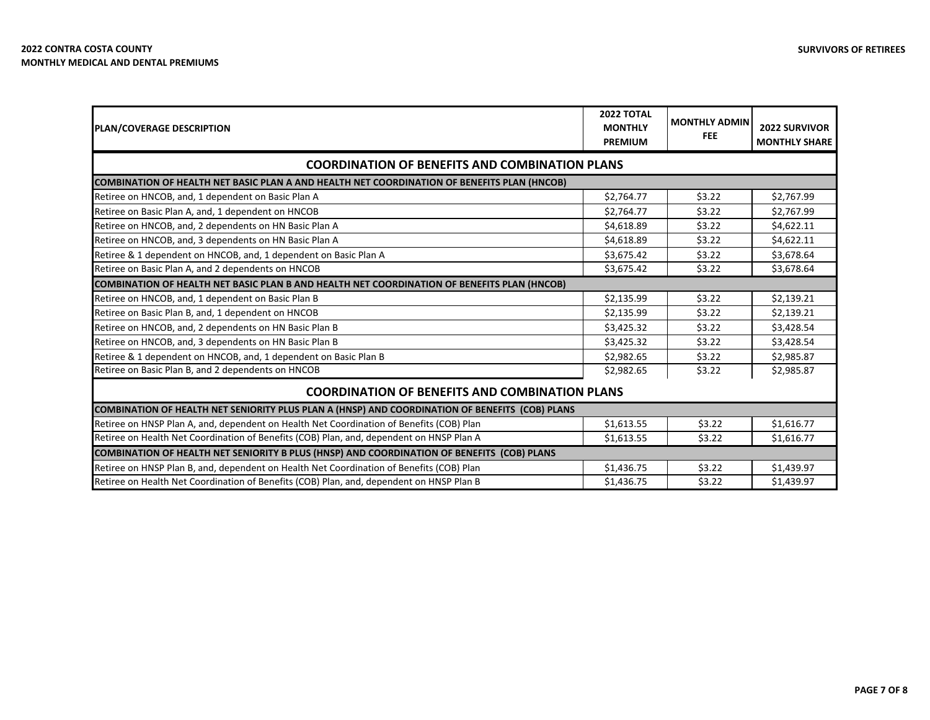| <b>PLAN/COVERAGE DESCRIPTION</b>                                                                   | <b>2022 TOTAL</b><br><b>MONTHLY</b><br><b>PREMIUM</b> | <b>MONTHLY ADMIN</b><br><b>FEE</b> | <b>2022 SURVIVOR</b><br><b>MONTHLY SHARE</b> |  |
|----------------------------------------------------------------------------------------------------|-------------------------------------------------------|------------------------------------|----------------------------------------------|--|
| <b>COORDINATION OF BENEFITS AND COMBINATION PLANS</b>                                              |                                                       |                                    |                                              |  |
| COMBINATION OF HEALTH NET BASIC PLAN A AND HEALTH NET COORDINATION OF BENEFITS PLAN (HNCOB)        |                                                       |                                    |                                              |  |
| Retiree on HNCOB, and, 1 dependent on Basic Plan A                                                 | \$2,764.77                                            | \$3.22                             | \$2,767.99                                   |  |
| Retiree on Basic Plan A, and, 1 dependent on HNCOB                                                 | \$2,764.77                                            | \$3.22                             | \$2,767.99                                   |  |
| Retiree on HNCOB, and, 2 dependents on HN Basic Plan A                                             | \$4,618.89                                            | \$3.22                             | \$4,622.11                                   |  |
| Retiree on HNCOB, and, 3 dependents on HN Basic Plan A                                             | \$4,618.89                                            | \$3.22                             | \$4,622.11                                   |  |
| Retiree & 1 dependent on HNCOB, and, 1 dependent on Basic Plan A                                   | \$3,675.42                                            | \$3.22                             | \$3,678.64                                   |  |
| Retiree on Basic Plan A, and 2 dependents on HNCOB                                                 | \$3,675.42                                            | \$3.22                             | \$3,678.64                                   |  |
| <b>COMBINATION OF HEALTH NET BASIC PLAN B AND HEALTH NET COORDINATION OF BENEFITS PLAN (HNCOB)</b> |                                                       |                                    |                                              |  |
| Retiree on HNCOB, and, 1 dependent on Basic Plan B                                                 | \$2,135.99                                            | \$3.22                             | \$2,139.21                                   |  |
| Retiree on Basic Plan B, and, 1 dependent on HNCOB                                                 | \$2,135.99                                            | \$3.22                             | \$2,139.21                                   |  |
| Retiree on HNCOB, and, 2 dependents on HN Basic Plan B                                             | \$3,425.32                                            | \$3.22                             | \$3,428.54                                   |  |
| Retiree on HNCOB, and, 3 dependents on HN Basic Plan B                                             | \$3,425.32                                            | \$3.22                             | \$3,428.54                                   |  |
| Retiree & 1 dependent on HNCOB, and, 1 dependent on Basic Plan B                                   | \$2,982.65                                            | \$3.22                             | \$2,985.87                                   |  |
| Retiree on Basic Plan B, and 2 dependents on HNCOB                                                 | \$2,982.65                                            | \$3.22                             | \$2,985.87                                   |  |
| <b>COORDINATION OF BENEFITS AND COMBINATION PLANS</b>                                              |                                                       |                                    |                                              |  |
| COMBINATION OF HEALTH NET SENIORITY PLUS PLAN A (HNSP) AND COORDINATION OF BENEFITS (COB) PLANS    |                                                       |                                    |                                              |  |
| Retiree on HNSP Plan A, and, dependent on Health Net Coordination of Benefits (COB) Plan           | \$1,613.55                                            | \$3.22                             | \$1,616.77                                   |  |
| Retiree on Health Net Coordination of Benefits (COB) Plan, and, dependent on HNSP Plan A           | \$1,613.55                                            | \$3.22                             | \$1,616.77                                   |  |
| COMBINATION OF HEALTH NET SENIORITY B PLUS (HNSP) AND COORDINATION OF BENEFITS (COB) PLANS         |                                                       |                                    |                                              |  |
| Retiree on HNSP Plan B, and, dependent on Health Net Coordination of Benefits (COB) Plan           | \$1,436.75                                            | \$3.22                             | \$1,439.97                                   |  |
| Retiree on Health Net Coordination of Benefits (COB) Plan, and, dependent on HNSP Plan B           | \$1,436.75                                            | \$3.22                             | \$1,439.97                                   |  |